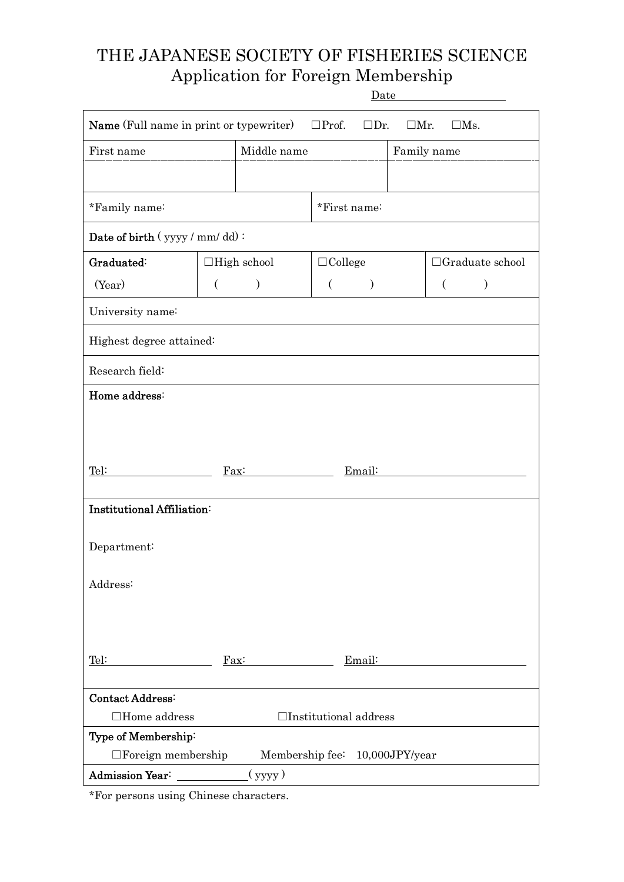# THE JAPANESE SOCIETY OF FISHERIES SCIENCE Application for Foreign Membership D<sub>ato</sub>

|                                                                                                                      | <u>Date</u> |                       |                |               |  |                        |               |  |  |  |  |  |
|----------------------------------------------------------------------------------------------------------------------|-------------|-----------------------|----------------|---------------|--|------------------------|---------------|--|--|--|--|--|
| <b>Name</b> (Full name in print or typewriter)<br>$\square$ Prof.<br>$\square$ Dr.<br>$\square$ Mr.<br>$\square$ Ms. |             |                       |                |               |  |                        |               |  |  |  |  |  |
| Middle name<br>First name                                                                                            |             |                       |                |               |  | Family name            |               |  |  |  |  |  |
|                                                                                                                      |             |                       |                |               |  |                        |               |  |  |  |  |  |
| *Family name:                                                                                                        |             |                       | *First name:   |               |  |                        |               |  |  |  |  |  |
| Date of birth (yyyy / mm/dd):                                                                                        |             |                       |                |               |  |                        |               |  |  |  |  |  |
| Graduated:                                                                                                           |             | $\Box$ High school    | $\Box$ College |               |  | $\Box$ Graduate school |               |  |  |  |  |  |
| (Year)                                                                                                               | $\left($    | )                     | $\left($       | $\mathcal{Y}$ |  | $\left($               | $\mathcal{E}$ |  |  |  |  |  |
| University name:                                                                                                     |             |                       |                |               |  |                        |               |  |  |  |  |  |
| Highest degree attained:                                                                                             |             |                       |                |               |  |                        |               |  |  |  |  |  |
| Research field:                                                                                                      |             |                       |                |               |  |                        |               |  |  |  |  |  |
| Home address:                                                                                                        |             |                       |                |               |  |                        |               |  |  |  |  |  |
|                                                                                                                      |             |                       |                |               |  |                        |               |  |  |  |  |  |
|                                                                                                                      |             |                       |                |               |  |                        |               |  |  |  |  |  |
| Tel:                                                                                                                 |             | $\text{Fax}:$         |                | Email:        |  |                        |               |  |  |  |  |  |
|                                                                                                                      |             |                       |                |               |  |                        |               |  |  |  |  |  |
| Institutional Affiliation:                                                                                           |             |                       |                |               |  |                        |               |  |  |  |  |  |
| Department:                                                                                                          |             |                       |                |               |  |                        |               |  |  |  |  |  |
|                                                                                                                      |             |                       |                |               |  |                        |               |  |  |  |  |  |
| Address:                                                                                                             |             |                       |                |               |  |                        |               |  |  |  |  |  |
|                                                                                                                      |             |                       |                |               |  |                        |               |  |  |  |  |  |
|                                                                                                                      |             |                       |                |               |  |                        |               |  |  |  |  |  |
| Tel:                                                                                                                 |             | $\operatorname{Fax}:$ | Email:         |               |  |                        |               |  |  |  |  |  |
|                                                                                                                      |             |                       |                |               |  |                        |               |  |  |  |  |  |
| Contact Address:                                                                                                     |             |                       |                |               |  |                        |               |  |  |  |  |  |
| $\Box$ Home address<br>$\Box$ Institutional address                                                                  |             |                       |                |               |  |                        |               |  |  |  |  |  |
| Type of Membership:                                                                                                  |             |                       |                |               |  |                        |               |  |  |  |  |  |
| $\Box$ Foreign membership<br>Membership fee: 10,000JPY/year                                                          |             |                       |                |               |  |                        |               |  |  |  |  |  |
| Admission Year:<br>(yyyy)                                                                                            |             |                       |                |               |  |                        |               |  |  |  |  |  |

\*For persons using Chinese characters.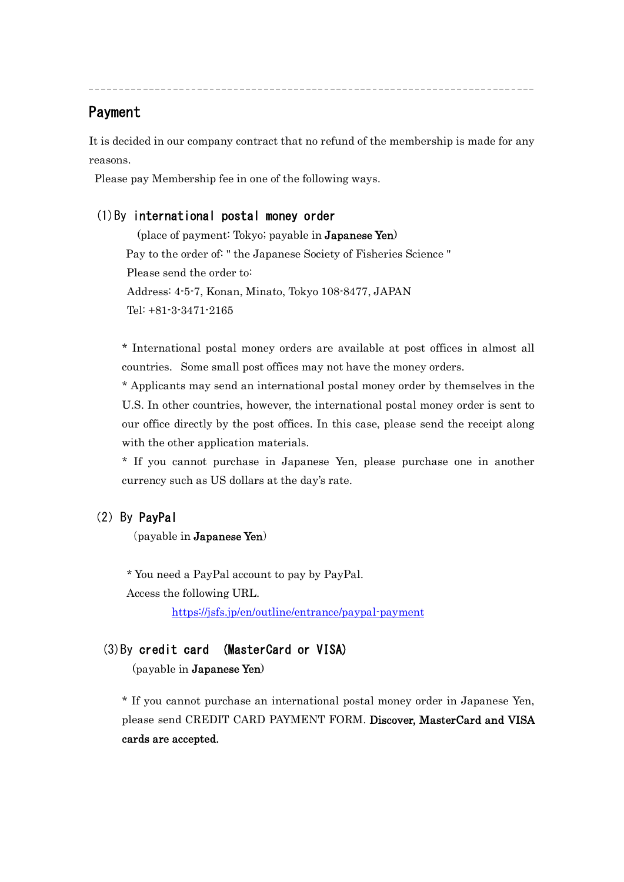## Payment

 $\overline{a}$ 

It is decided in our company contract that no refund of the membership is made for any reasons.

Please pay Membership fee in one of the following ways.

#### (1)By international postal money order

(place of payment: Tokyo; payable in Japanese Yen) Pay to the order of: " the Japanese Society of Fisheries Science " Please send the order to: Address: 4-5-7, Konan, Minato, Tokyo 108-8477, JAPAN Tel: +81-3-3471-2165

\* International postal money orders are available at post offices in almost all countries. Some small post offices may not have the money orders.

\* Applicants may send an international postal money order by themselves in the U.S. In other countries, however, the international postal money order is sent to our office directly by the post offices. In this case, please send the receipt along with the other application materials.

\* If you cannot purchase in Japanese Yen, please purchase one in another currency such as US dollars at the day's rate.

#### (2) By PayPal

(payable in Japanese Yen)

\* You need a PayPal account to pay by PayPal.

Access the following URL.

https://jsfs.jp/en/outline/entrance/paypal-payment

#### (3)By credit card (MasterCard or VISA)

(payable in Japanese Yen)

\* If you cannot purchase an international postal money order in Japanese Yen, please send CREDIT CARD PAYMENT FORM. Discover, MasterCard and VISA cards are accepted.